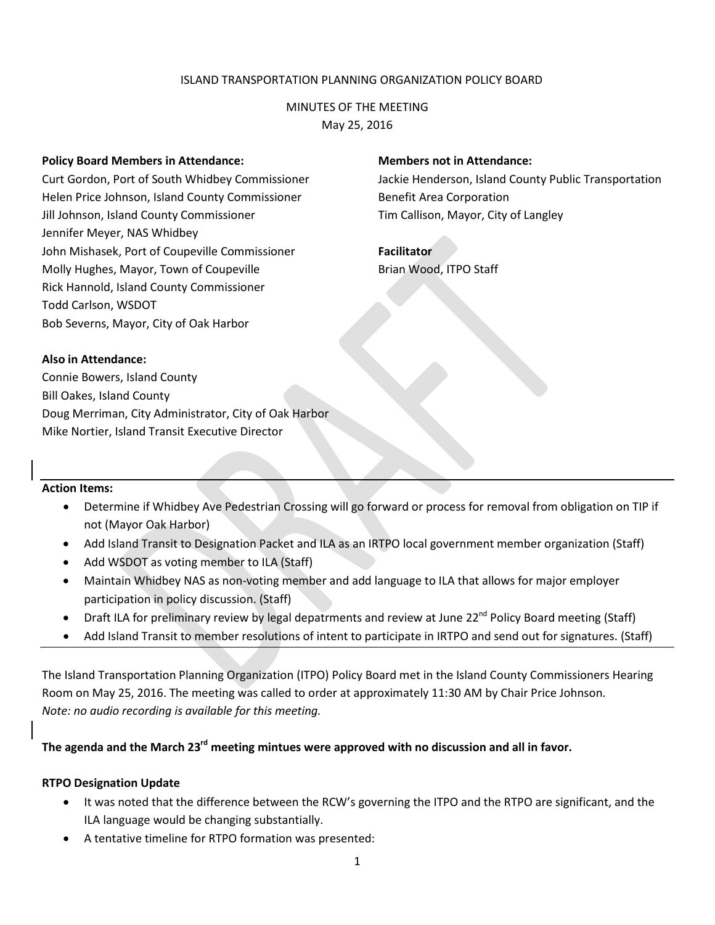## ISLAND TRANSPORTATION PLANNING ORGANIZATION POLICY BOARD

## MINUTES OF THE MEETING May 25, 2016

#### **Policy Board Members in Attendance:**

Curt Gordon, Port of South Whidbey Commissioner Helen Price Johnson, Island County Commissioner Jill Johnson, Island County Commissioner Jennifer Meyer, NAS Whidbey John Mishasek, Port of Coupeville Commissioner Molly Hughes, Mayor, Town of Coupeville Rick Hannold, Island County Commissioner Todd Carlson, WSDOT Bob Severns, Mayor, City of Oak Harbor

### **Members not in Attendance:**

Jackie Henderson, Island County Public Transportation Benefit Area Corporation Tim Callison, Mayor, City of Langley

**Facilitator** Brian Wood, ITPO Staff

## **Also in Attendance:**

Connie Bowers, Island County Bill Oakes, Island County Doug Merriman, City Administrator, City of Oak Harbor Mike Nortier, Island Transit Executive Director

## **Action Items:**

- Determine if Whidbey Ave Pedestrian Crossing will go forward or process for removal from obligation on TIP if not (Mayor Oak Harbor)
- Add Island Transit to Designation Packet and ILA as an IRTPO local government member organization (Staff)
- Add WSDOT as voting member to ILA (Staff)
- Maintain Whidbey NAS as non-voting member and add language to ILA that allows for major employer participation in policy discussion. (Staff)
- Draft ILA for preliminary review by legal depatrments and review at June 22<sup>nd</sup> Policy Board meeting (Staff)
- Add Island Transit to member resolutions of intent to participate in IRTPO and send out for signatures. (Staff)

The Island Transportation Planning Organization (ITPO) Policy Board met in the Island County Commissioners Hearing Room on May 25, 2016. The meeting was called to order at approximately 11:30 AM by Chair Price Johnson. *Note: no audio recording is available for this meeting.*

**The agenda and the March 23rd meeting mintues were approved with no discussion and all in favor.** 

#### **RTPO Designation Update**

- It was noted that the difference between the RCW's governing the ITPO and the RTPO are significant, and the ILA language would be changing substantially.
- A tentative timeline for RTPO formation was presented: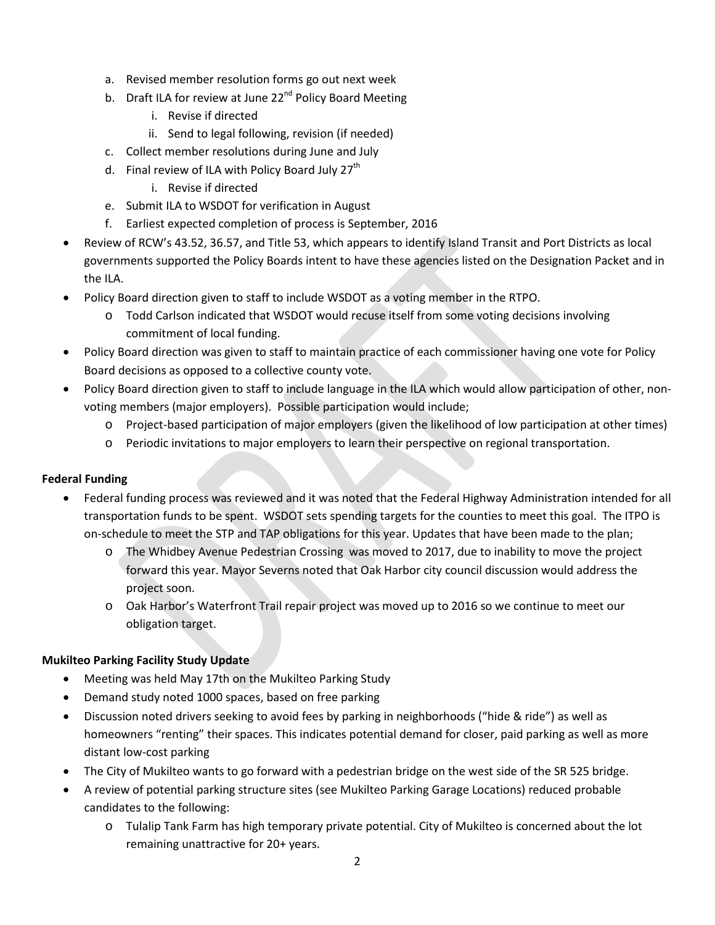- a. Revised member resolution forms go out next week
- b. Draft ILA for review at June 22<sup>nd</sup> Policy Board Meeting
	- i. Revise if directed
	- ii. Send to legal following, revision (if needed)
- c. Collect member resolutions during June and July
- d. Final review of ILA with Policy Board July  $27<sup>th</sup>$ 
	- i. Revise if directed
- e. Submit ILA to WSDOT for verification in August
- f. Earliest expected completion of process is September, 2016
- Review of RCW's 43.52, 36.57, and Title 53, which appears to identify Island Transit and Port Districts as local governments supported the Policy Boards intent to have these agencies listed on the Designation Packet and in the ILA.
- Policy Board direction given to staff to include WSDOT as a voting member in the RTPO.
	- o Todd Carlson indicated that WSDOT would recuse itself from some voting decisions involving commitment of local funding.
- Policy Board direction was given to staff to maintain practice of each commissioner having one vote for Policy Board decisions as opposed to a collective county vote.
- Policy Board direction given to staff to include language in the ILA which would allow participation of other, nonvoting members (major employers). Possible participation would include;
	- o Project-based participation of major employers (given the likelihood of low participation at other times)
	- o Periodic invitations to major employers to learn their perspective on regional transportation.

# **Federal Funding**

- Federal funding process was reviewed and it was noted that the Federal Highway Administration intended for all transportation funds to be spent. WSDOT sets spending targets for the counties to meet this goal. The ITPO is on-schedule to meet the STP and TAP obligations for this year. Updates that have been made to the plan;
	- o The Whidbey Avenue Pedestrian Crossing was moved to 2017, due to inability to move the project forward this year. Mayor Severns noted that Oak Harbor city council discussion would address the project soon.
	- o Oak Harbor's Waterfront Trail repair project was moved up to 2016 so we continue to meet our obligation target.

# **Mukilteo Parking Facility Study Update**

- Meeting was held May 17th on the Mukilteo Parking Study
- Demand study noted 1000 spaces, based on free parking
- Discussion noted drivers seeking to avoid fees by parking in neighborhoods ("hide & ride") as well as homeowners "renting" their spaces. This indicates potential demand for closer, paid parking as well as more distant low-cost parking
- The City of Mukilteo wants to go forward with a pedestrian bridge on the west side of the SR 525 bridge.
- A review of potential parking structure sites (see Mukilteo Parking Garage Locations) reduced probable candidates to the following:
	- o Tulalip Tank Farm has high temporary private potential. City of Mukilteo is concerned about the lot remaining unattractive for 20+ years.